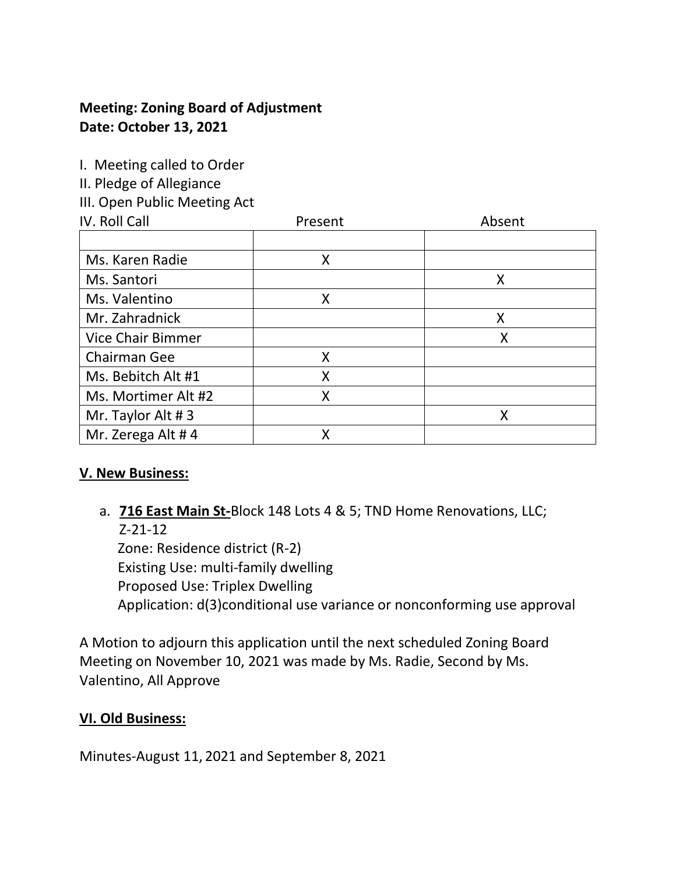## **Meeting: Zoning Board of Adjustment Date: October 13, 2021**

I. Meeting called to Order

II. Pledge of Allegiance

III. Open Public Meeting Act

| IV. Roll Call            | Present | Absent |
|--------------------------|---------|--------|
|                          |         |        |
| Ms. Karen Radie          | X       |        |
| Ms. Santori              |         | X      |
| Ms. Valentino            | Χ       |        |
| Mr. Zahradnick           |         | X      |
| <b>Vice Chair Bimmer</b> |         | Χ      |
| <b>Chairman Gee</b>      | Χ       |        |
| Ms. Bebitch Alt #1       | Χ       |        |
| Ms. Mortimer Alt #2      | Χ       |        |
| Mr. Taylor Alt #3        |         | Χ      |
| Mr. Zerega Alt #4        | x       |        |

## **V. New Business:**

## a. **716 East Main St-**Block 148 Lots 4 & 5; TND Home Renovations, LLC; Z-21-12

 Zone: Residence district (R-2) Existing Use: multi-family dwelling Proposed Use: Triplex Dwelling Application: d(3)conditional use variance or nonconforming use approval

A Motion to adjourn this application until the next scheduled Zoning Board Meeting on November 10, 2021 was made by Ms. Radie, Second by Ms. Valentino, All Approve

## **VI. Old Business:**

Minutes-August 11, 2021 and September 8, 2021